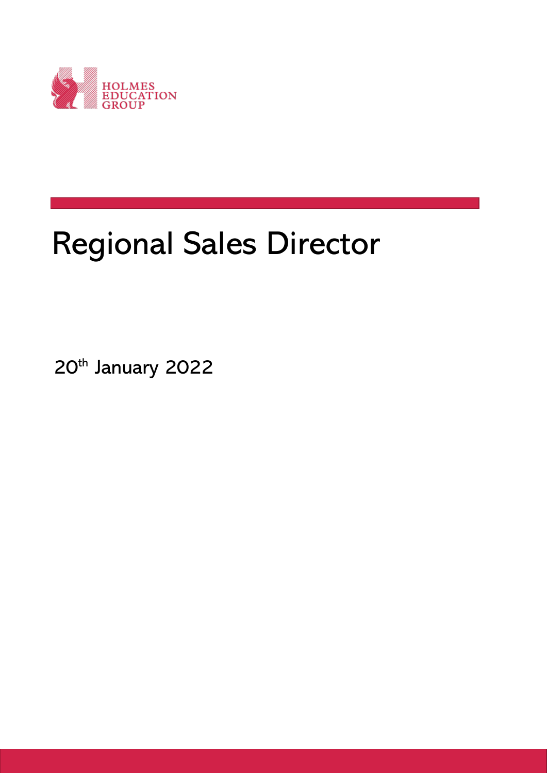

## Regional Sales Director

20th January 2022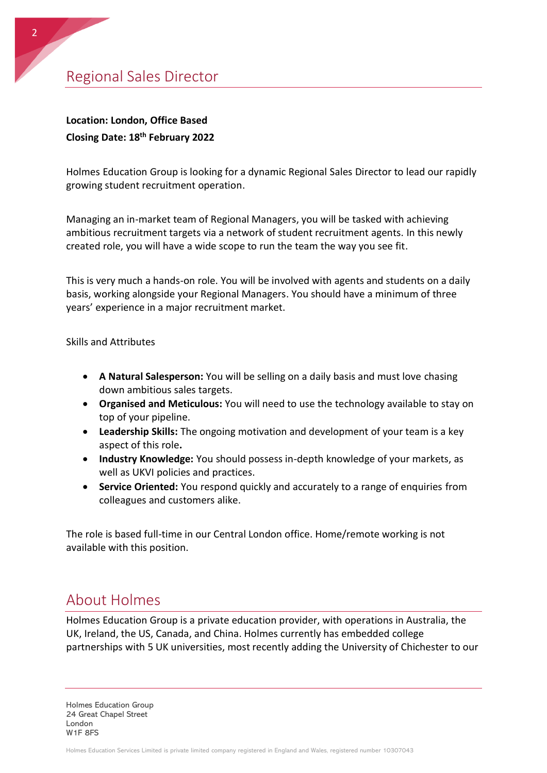Regional Sales Director

## **Location: London, Office Based Closing Date: 18th February 2022**

Holmes Education Group is looking for a dynamic Regional Sales Director to lead our rapidly growing student recruitment operation.

Managing an in-market team of Regional Managers, you will be tasked with achieving ambitious recruitment targets via a network of student recruitment agents. In this newly created role, you will have a wide scope to run the team the way you see fit.

This is very much a hands-on role. You will be involved with agents and students on a daily basis, working alongside your Regional Managers. You should have a minimum of three years' experience in a major recruitment market.

Skills and Attributes

- **A Natural Salesperson:** You will be selling on a daily basis and must love chasing down ambitious sales targets.
- **Organised and Meticulous:** You will need to use the technology available to stay on top of your pipeline.
- **Leadership Skills:** The ongoing motivation and development of your team is a key aspect of this role**.**
- **Industry Knowledge:** You should possess in-depth knowledge of your markets, as well as UKVI policies and practices.
- **Service Oriented:** You respond quickly and accurately to a range of enquiries from colleagues and customers alike.

The role is based full-time in our Central London office. Home/remote working is not available with this position.

## About Holmes

Holmes Education Group is a private education provider, with operations in Australia, the UK, Ireland, the US, Canada, and China. Holmes currently has embedded college partnerships with 5 UK universities, most recently adding the University of Chichester to our

Holmes Education Group 24 Great Chapel Street London W1F 8FS